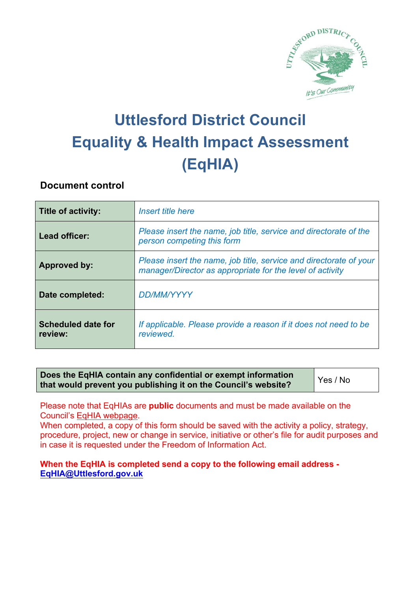

# **Uttlesford District Council Equality & Health Impact Assessment (EqHIA)**

#### **Document control**

| <b>Title of activity:</b>            | Insert title here                                                                                                               |
|--------------------------------------|---------------------------------------------------------------------------------------------------------------------------------|
| Lead officer:                        | Please insert the name, job title, service and directorate of the<br>person competing this form                                 |
| <b>Approved by:</b>                  | Please insert the name, job title, service and directorate of your<br>manager/Director as appropriate for the level of activity |
| Date completed:                      | <b>DD/MM/YYYY</b>                                                                                                               |
| <b>Scheduled date for</b><br>review: | If applicable. Please provide a reason if it does not need to be<br>reviewed.                                                   |

**Does the EqHIA contain any confidential or exempt information that would prevent you publishing it on the Council's website?** Yes / No

Please note that EqHIAs are **public** documents and must be made available on the Council's EqHIA webpage.

When completed, a copy of this form should be saved with the activity a policy, strategy, procedure, project, new or change in service, initiative or other's file for audit purposes and in case it is requested under the Freedom of Information Act.

**When the EqHIA is completed send a copy to the following email address - EqHIA@Uttlesford.gov.uk**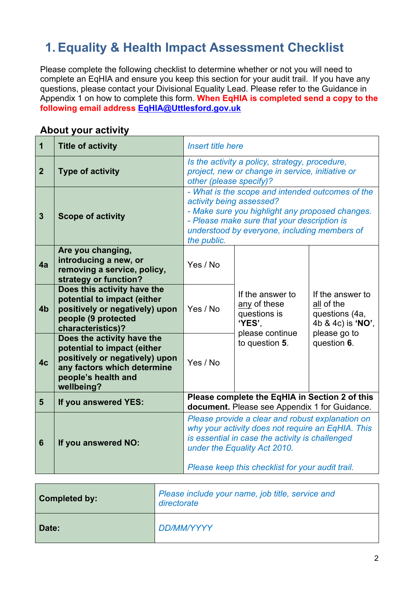# **1.Equality & Health Impact Assessment Checklist**

Please complete the following checklist to determine whether or not you will need to complete an EqHIA and ensure you keep this section for your audit trail. If you have any questions, please contact your Divisional Equality Lead. Please refer to the Guidance in Appendix 1 on how to complete this form. **When EqHIA is completed send a copy to the following email address EqHIA@Uttlesford.gov.uk**

| <b>Title of activity</b>                                                                                                                                        | Insert title here                                                                                                                                                                                                                            |                                                            |                                                                       |
|-----------------------------------------------------------------------------------------------------------------------------------------------------------------|----------------------------------------------------------------------------------------------------------------------------------------------------------------------------------------------------------------------------------------------|------------------------------------------------------------|-----------------------------------------------------------------------|
| <b>Type of activity</b>                                                                                                                                         | Is the activity a policy, strategy, procedure,<br>project, new or change in service, initiative or                                                                                                                                           |                                                            |                                                                       |
| <b>Scope of activity</b>                                                                                                                                        | - What is the scope and intended outcomes of the<br>activity being assessed?<br>- Make sure you highlight any proposed changes.<br>- Please make sure that your description is<br>understood by everyone, including members of               |                                                            |                                                                       |
| Are you changing,<br>introducing a new, or<br>removing a service, policy,<br>strategy or function?                                                              | Yes / No                                                                                                                                                                                                                                     |                                                            |                                                                       |
| Does this activity have the<br>potential to impact (either<br>positively or negatively) upon<br>people (9 protected<br>characteristics)?                        | Yes / No                                                                                                                                                                                                                                     | If the answer to<br>any of these<br>questions is<br>'YES', | If the answer to<br>all of the<br>questions (4a,<br>4b & 4c) is 'NO', |
| Does the activity have the<br>potential to impact (either<br>positively or negatively) upon<br>any factors which determine<br>people's health and<br>wellbeing? | Yes / No                                                                                                                                                                                                                                     | to question 5.                                             | please go to<br>question 6.                                           |
| If you answered YES:                                                                                                                                            | Please complete the EqHIA in Section 2 of this<br>document. Please see Appendix 1 for Guidance.                                                                                                                                              |                                                            |                                                                       |
| If you answered NO:                                                                                                                                             | Please provide a clear and robust explanation on<br>why your activity does not require an EqHIA. This<br>is essential in case the activity is challenged<br>under the Equality Act 2010.<br>Please keep this checklist for your audit trail. |                                                            |                                                                       |
|                                                                                                                                                                 |                                                                                                                                                                                                                                              | the public.                                                | other (please specify)?<br>please continue                            |

#### **About your activity**

| Completed by: | Please include your name, job title, service and<br>directorate |
|---------------|-----------------------------------------------------------------|
| Date:         | DD/MM/YYYY                                                      |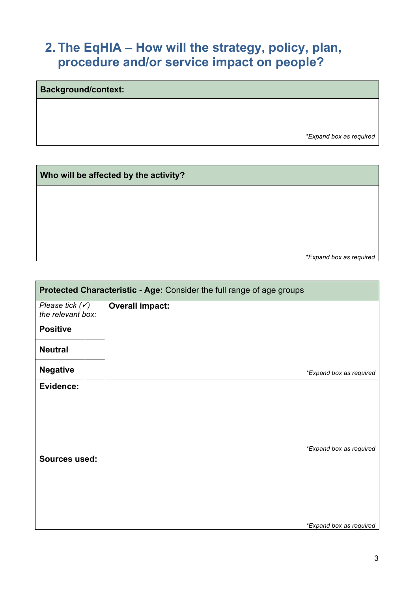### **2. The EqHIA – How will the strategy, policy, plan, procedure and/or service impact on people?**

| <b>Background/context:</b> |                         |  |  |  |
|----------------------------|-------------------------|--|--|--|
|                            |                         |  |  |  |
|                            |                         |  |  |  |
|                            | *Expand box as required |  |  |  |
|                            |                         |  |  |  |

| Who will be affected by the activity? |                         |  |  |  |
|---------------------------------------|-------------------------|--|--|--|
|                                       |                         |  |  |  |
|                                       |                         |  |  |  |
|                                       |                         |  |  |  |
|                                       |                         |  |  |  |
|                                       | *Expand box as required |  |  |  |

| Protected Characteristic - Age: Consider the full range of age groups |                         |  |
|-----------------------------------------------------------------------|-------------------------|--|
| Please tick $(\checkmark)$<br>the relevant box:                       | <b>Overall impact:</b>  |  |
| <b>Positive</b>                                                       |                         |  |
| <b>Neutral</b>                                                        |                         |  |
| <b>Negative</b>                                                       | *Expand box as required |  |
| Evidence:                                                             |                         |  |
|                                                                       |                         |  |
|                                                                       |                         |  |
|                                                                       | *Expand box as required |  |
| <b>Sources used:</b>                                                  |                         |  |
|                                                                       |                         |  |
|                                                                       |                         |  |
|                                                                       |                         |  |
|                                                                       | *Expand box as required |  |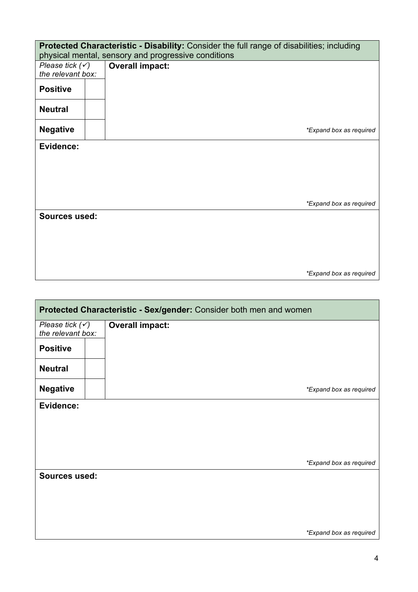| Protected Characteristic - Disability: Consider the full range of disabilities; including<br>physical mental, sensory and progressive conditions |                        |                         |  |
|--------------------------------------------------------------------------------------------------------------------------------------------------|------------------------|-------------------------|--|
| Please tick $(\checkmark)$<br>the relevant box:                                                                                                  | <b>Overall impact:</b> |                         |  |
| <b>Positive</b>                                                                                                                                  |                        |                         |  |
| <b>Neutral</b>                                                                                                                                   |                        |                         |  |
| <b>Negative</b>                                                                                                                                  |                        | *Expand box as required |  |
| Evidence:                                                                                                                                        |                        |                         |  |
|                                                                                                                                                  |                        |                         |  |
|                                                                                                                                                  |                        |                         |  |
|                                                                                                                                                  |                        | *Expand box as required |  |
| <b>Sources used:</b>                                                                                                                             |                        |                         |  |
|                                                                                                                                                  |                        |                         |  |
|                                                                                                                                                  |                        |                         |  |
|                                                                                                                                                  |                        |                         |  |
|                                                                                                                                                  |                        | *Expand box as required |  |

| Protected Characteristic - Sex/gender: Consider both men and women |  |                         |
|--------------------------------------------------------------------|--|-------------------------|
| Please tick $(\checkmark)$<br>the relevant box:                    |  | <b>Overall impact:</b>  |
| <b>Positive</b>                                                    |  |                         |
| <b>Neutral</b>                                                     |  |                         |
| <b>Negative</b>                                                    |  | *Expand box as required |
| Evidence:                                                          |  |                         |
|                                                                    |  |                         |
|                                                                    |  |                         |
|                                                                    |  |                         |
|                                                                    |  |                         |
|                                                                    |  | *Expand box as required |
| <b>Sources used:</b>                                               |  |                         |
|                                                                    |  |                         |
|                                                                    |  |                         |
|                                                                    |  |                         |
|                                                                    |  |                         |
|                                                                    |  | *Expand box as required |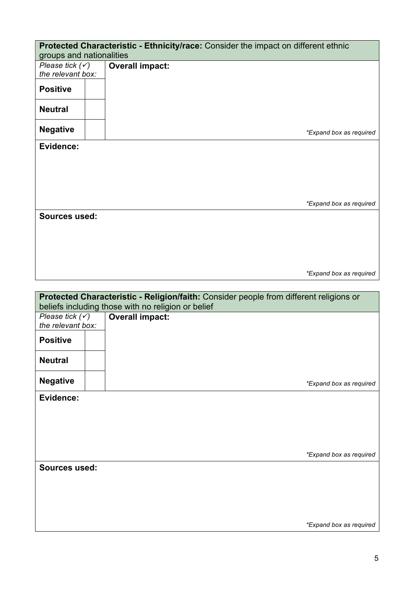| Protected Characteristic - Ethnicity/race: Consider the impact on different ethnic |  |                                                                                                                                              |  |
|------------------------------------------------------------------------------------|--|----------------------------------------------------------------------------------------------------------------------------------------------|--|
| groups and nationalities                                                           |  |                                                                                                                                              |  |
| Please tick $(\checkmark)$<br>the relevant box:                                    |  | <b>Overall impact:</b>                                                                                                                       |  |
|                                                                                    |  |                                                                                                                                              |  |
| <b>Positive</b>                                                                    |  |                                                                                                                                              |  |
| <b>Neutral</b>                                                                     |  |                                                                                                                                              |  |
| <b>Negative</b>                                                                    |  | *Expand box as required                                                                                                                      |  |
| Evidence:                                                                          |  |                                                                                                                                              |  |
|                                                                                    |  |                                                                                                                                              |  |
|                                                                                    |  |                                                                                                                                              |  |
|                                                                                    |  |                                                                                                                                              |  |
|                                                                                    |  |                                                                                                                                              |  |
|                                                                                    |  | *Expand box as required                                                                                                                      |  |
| <b>Sources used:</b>                                                               |  |                                                                                                                                              |  |
|                                                                                    |  |                                                                                                                                              |  |
|                                                                                    |  |                                                                                                                                              |  |
|                                                                                    |  |                                                                                                                                              |  |
|                                                                                    |  |                                                                                                                                              |  |
|                                                                                    |  | *Expand box as required                                                                                                                      |  |
|                                                                                    |  |                                                                                                                                              |  |
|                                                                                    |  | Protected Characteristic - Religion/faith: Consider people from different religions or<br>beliefs including those with no religion or belief |  |
| Please tick $(v)$                                                                  |  | <b>Overall impact:</b>                                                                                                                       |  |
| the relevant box:                                                                  |  |                                                                                                                                              |  |
| <b>Positive</b>                                                                    |  |                                                                                                                                              |  |
| <b>Neutral</b>                                                                     |  |                                                                                                                                              |  |
| <b>Negative</b>                                                                    |  | *Expand box as required                                                                                                                      |  |
| <b>Evidence:</b>                                                                   |  |                                                                                                                                              |  |
|                                                                                    |  |                                                                                                                                              |  |
|                                                                                    |  |                                                                                                                                              |  |
|                                                                                    |  |                                                                                                                                              |  |
|                                                                                    |  |                                                                                                                                              |  |

**Sources used:** 

*\*Expand box as required*

*\*Expand box as required*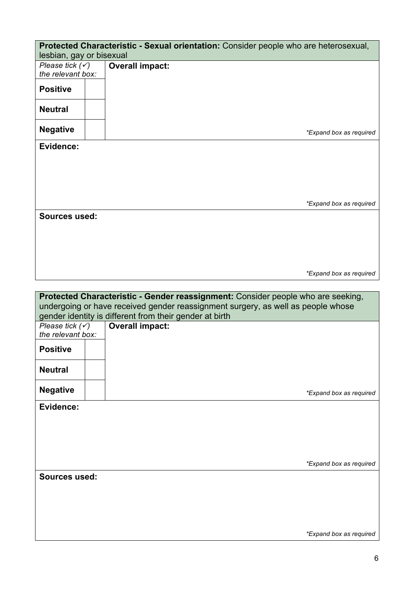| lesbian, gay or bisexual                        | Protected Characteristic - Sexual orientation: Consider people who are heterosexual,                                                                                 |
|-------------------------------------------------|----------------------------------------------------------------------------------------------------------------------------------------------------------------------|
| Please tick $(\checkmark)$<br>the relevant box: | <b>Overall impact:</b>                                                                                                                                               |
| <b>Positive</b>                                 |                                                                                                                                                                      |
| <b>Neutral</b>                                  |                                                                                                                                                                      |
| <b>Negative</b>                                 | *Expand box as required                                                                                                                                              |
| Evidence:                                       |                                                                                                                                                                      |
|                                                 |                                                                                                                                                                      |
|                                                 | *Expand box as required                                                                                                                                              |
| Sources used:                                   |                                                                                                                                                                      |
|                                                 |                                                                                                                                                                      |
|                                                 |                                                                                                                                                                      |
|                                                 | *Expand box as required                                                                                                                                              |
|                                                 |                                                                                                                                                                      |
|                                                 |                                                                                                                                                                      |
|                                                 | Protected Characteristic - Gender reassignment: Consider people who are seeking,<br>undergoing or have received gender reassignment surgery, as well as people whose |
|                                                 | gender identity is different from their gender at birth                                                                                                              |
| Please tick $(\checkmark)$<br>the relevant box: | <b>Overall impact:</b>                                                                                                                                               |
| <b>Positive</b>                                 |                                                                                                                                                                      |
| <b>Neutral</b>                                  |                                                                                                                                                                      |
| <b>Negative</b>                                 | *Expand box as required                                                                                                                                              |
| Evidence:                                       |                                                                                                                                                                      |
|                                                 |                                                                                                                                                                      |
|                                                 |                                                                                                                                                                      |
|                                                 | *Expand box as required                                                                                                                                              |
| <b>Sources used:</b>                            |                                                                                                                                                                      |
|                                                 |                                                                                                                                                                      |
|                                                 |                                                                                                                                                                      |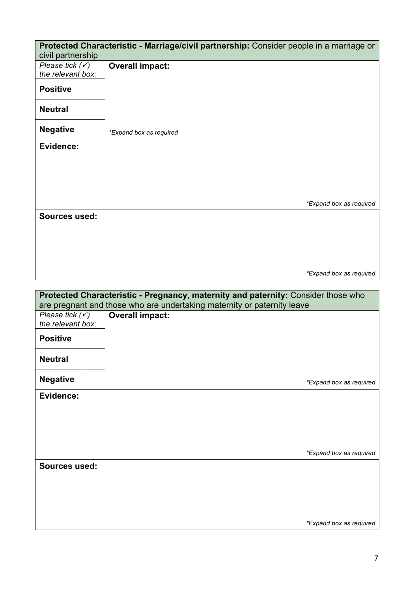| civil partnership          | Protected Characteristic - Marriage/civil partnership: Consider people in a marriage or |
|----------------------------|-----------------------------------------------------------------------------------------|
| Please tick $(\checkmark)$ | <b>Overall impact:</b>                                                                  |
| the relevant box:          |                                                                                         |
|                            |                                                                                         |
| <b>Positive</b>            |                                                                                         |
| <b>Neutral</b>             |                                                                                         |
| <b>Negative</b>            | *Expand box as required                                                                 |
| Evidence:                  |                                                                                         |
|                            |                                                                                         |
|                            |                                                                                         |
|                            |                                                                                         |
|                            |                                                                                         |
|                            |                                                                                         |
|                            |                                                                                         |
|                            | *Expand box as required                                                                 |
| <b>Sources used:</b>       |                                                                                         |
|                            |                                                                                         |
|                            |                                                                                         |
|                            |                                                                                         |
|                            |                                                                                         |
|                            |                                                                                         |
|                            |                                                                                         |
|                            | *Expand box as required                                                                 |
|                            |                                                                                         |
|                            | Protected Characteristic - Pregnancy, maternity and paternity: Consider those who       |
|                            | are pregnant and those who are undertaking maternity or paternity leave                 |
| Please tick $(\checkmark)$ | <b>Overall impact:</b>                                                                  |
| the relevant box:          |                                                                                         |
|                            |                                                                                         |
| <b>Positive</b>            |                                                                                         |
|                            |                                                                                         |
| <b>Neutral</b>             |                                                                                         |
|                            |                                                                                         |
| <b>Negative</b>            | *Expand box as required                                                                 |
| Evidence:                  |                                                                                         |
|                            |                                                                                         |
|                            |                                                                                         |
|                            |                                                                                         |
|                            |                                                                                         |
|                            |                                                                                         |
|                            |                                                                                         |
|                            | *Expand box as required                                                                 |
| <b>Sources used:</b>       |                                                                                         |
|                            |                                                                                         |
|                            |                                                                                         |
|                            |                                                                                         |
|                            |                                                                                         |
|                            |                                                                                         |
|                            |                                                                                         |

*\*Expand box as required*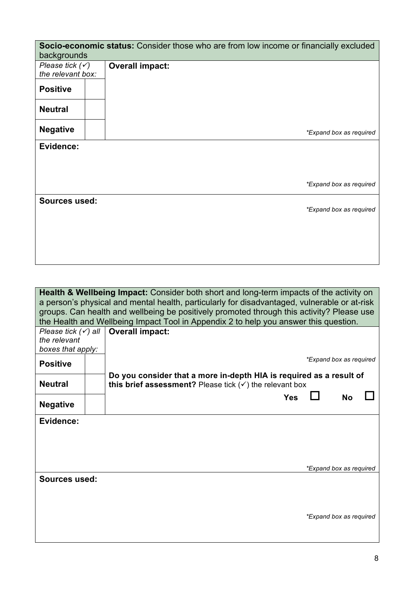| Socio-economic status: Consider those who are from low income or financially excluded<br>backgrounds |                        |                         |  |
|------------------------------------------------------------------------------------------------------|------------------------|-------------------------|--|
| Please tick $(\checkmark)$<br>the relevant box:                                                      | <b>Overall impact:</b> |                         |  |
| <b>Positive</b>                                                                                      |                        |                         |  |
| <b>Neutral</b>                                                                                       |                        |                         |  |
| <b>Negative</b>                                                                                      |                        | *Expand box as required |  |
| Evidence:                                                                                            |                        |                         |  |
|                                                                                                      |                        |                         |  |
|                                                                                                      |                        | *Expand box as required |  |
| <b>Sources used:</b>                                                                                 |                        | *Expand box as required |  |
|                                                                                                      |                        |                         |  |
|                                                                                                      |                        |                         |  |

**Health & Wellbeing Impact:** Consider both short and long-term impacts of the activity on a person's physical and mental health, particularly for disadvantaged, vulnerable or at-risk groups. Can health and wellbeing be positively promoted through this activity? Please use the Health and Wellbeing Impact Tool in Appendix 2 to help you answer this question.

| Please tick $(\checkmark)$ all |  | <b>Overall impact:</b>                                                                                                                    |                         |           |  |
|--------------------------------|--|-------------------------------------------------------------------------------------------------------------------------------------------|-------------------------|-----------|--|
| the relevant                   |  |                                                                                                                                           |                         |           |  |
| boxes that apply:              |  |                                                                                                                                           |                         |           |  |
| <b>Positive</b>                |  |                                                                                                                                           | *Expand box as required |           |  |
| <b>Neutral</b>                 |  | Do you consider that a more in-depth HIA is required as a result of<br>this brief assessment? Please tick $(\checkmark)$ the relevant box |                         |           |  |
| <b>Negative</b>                |  | <b>Yes</b>                                                                                                                                |                         | <b>No</b> |  |
| Evidence:                      |  |                                                                                                                                           |                         |           |  |
|                                |  |                                                                                                                                           |                         |           |  |
|                                |  |                                                                                                                                           |                         |           |  |
|                                |  |                                                                                                                                           | *Expand box as required |           |  |
| <b>Sources used:</b>           |  |                                                                                                                                           |                         |           |  |
|                                |  |                                                                                                                                           |                         |           |  |
|                                |  |                                                                                                                                           | *Expand box as required |           |  |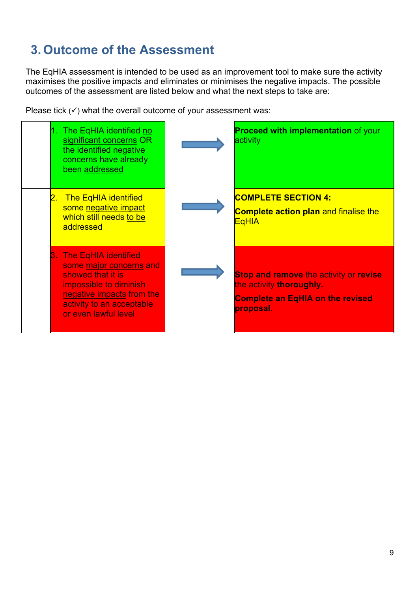# **3. Outcome of the Assessment**

The EqHIA assessment is intended to be used as an improvement tool to make sure the activity maximises the positive impacts and eliminates or minimises the negative impacts. The possible outcomes of the assessment are listed below and what the next steps to take are:

Please tick  $(\checkmark)$  what the overall outcome of your assessment was:

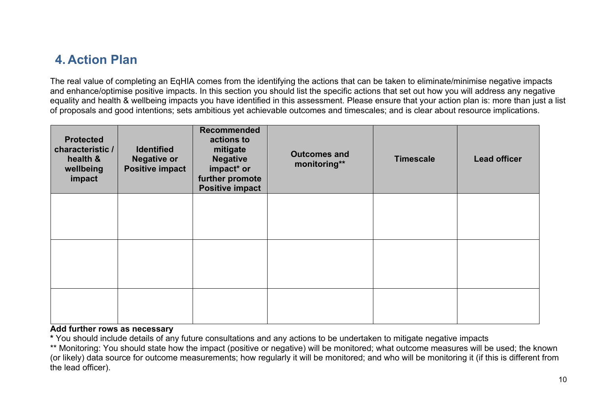### **4. Action Plan**

The real value of completing an EqHIA comes from the identifying the actions that can be taken to eliminate/minimise negative impacts and enhance/optimise positive impacts. In this section you should list the specific actions that set out how you will address any negative equality and health & wellbeing impacts you have identified in this assessment. Please ensure that your action plan is: more than just a list of proposals and good intentions; sets ambitious yet achievable outcomes and timescales; and is clear about resource implications.

| <b>Protected</b><br>characteristic /<br>health &<br>wellbeing<br>impact | <b>Identified</b><br><b>Negative or</b><br><b>Positive impact</b> | <b>Recommended</b><br>actions to<br>mitigate<br><b>Negative</b><br>impact* or<br>further promote<br><b>Positive impact</b> | <b>Outcomes and</b><br>monitoring** | <b>Timescale</b> | <b>Lead officer</b> |
|-------------------------------------------------------------------------|-------------------------------------------------------------------|----------------------------------------------------------------------------------------------------------------------------|-------------------------------------|------------------|---------------------|
|                                                                         |                                                                   |                                                                                                                            |                                     |                  |                     |
|                                                                         |                                                                   |                                                                                                                            |                                     |                  |                     |
|                                                                         |                                                                   |                                                                                                                            |                                     |                  |                     |

#### **Add further rows as necessary**

**\*** You should include details of any future consultations and any actions to be undertaken to mitigate negative impacts

\*\* Monitoring: You should state how the impact (positive or negative) will be monitored; what outcome measures will be used; the known (or likely) data source for outcome measurements; how regularly it will be monitored; and who will be monitoring it (if this is different from the lead officer).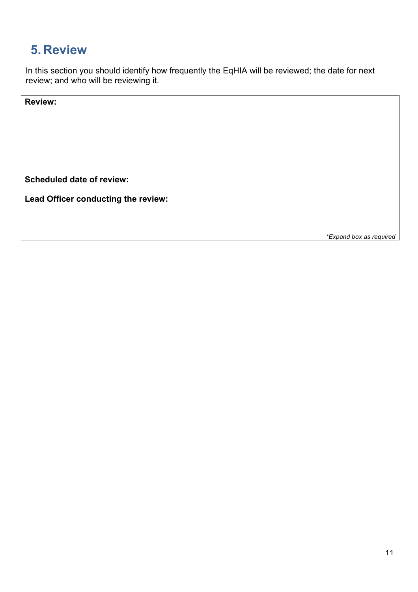### **5. Review**

In this section you should identify how frequently the EqHIA will be reviewed; the date for next review; and who will be reviewing it.

**Review:**

**Scheduled date of review:**

**Lead Officer conducting the review:**

*\*Expand box as required*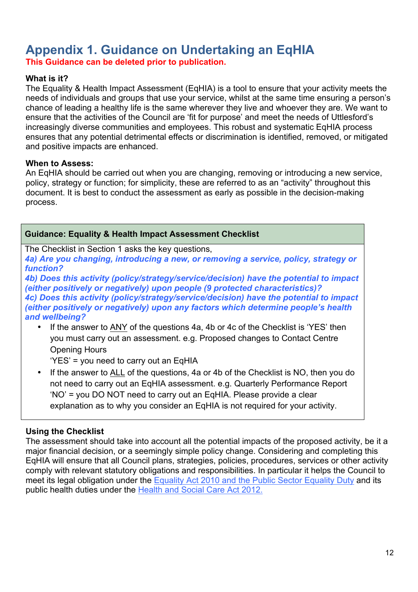# **Appendix 1. Guidance on Undertaking an EqHIA**

**This Guidance can be deleted prior to publication.**

#### **What is it?**

The Equality & Health Impact Assessment (EqHIA) is a tool to ensure that your activity meets the needs of individuals and groups that use your service, whilst at the same time ensuring a person's chance of leading a healthy life is the same wherever they live and whoever they are. We want to ensure that the activities of the Council are 'fit for purpose' and meet the needs of Uttlesford's increasingly diverse communities and employees. This robust and systematic EqHIA process ensures that any potential detrimental effects or discrimination is identified, removed, or mitigated and positive impacts are enhanced.

#### **When to Assess:**

An EqHIA should be carried out when you are changing, removing or introducing a new service, policy, strategy or function; for simplicity, these are referred to as an "activity" throughout this document. It is best to conduct the assessment as early as possible in the decision-making process.

#### **Guidance: Equality & Health Impact Assessment Checklist**

The Checklist in Section 1 asks the key questions,

*4a) Are you changing, introducing a new, or removing a service, policy, strategy or function?*

*4b) Does this activity (policy/strategy/service/decision) have the potential to impact (either positively or negatively) upon people (9 protected characteristics)? 4c) Does this activity (policy/strategy/service/decision) have the potential to impact (either positively or negatively) upon any factors which determine people's health and wellbeing?*

If the answer to ANY of the questions 4a, 4b or 4c of the Checklist is 'YES' then you must carry out an assessment. e.g. Proposed changes to Contact Centre Opening Hours

'YES' = you need to carry out an EqHIA

• If the answer to ALL of the questions, 4a or 4b of the Checklist is NO, then you do not need to carry out an EqHIA assessment. e.g. Quarterly Performance Report 'NO' = you DO NOT need to carry out an EqHIA. Please provide a clear explanation as to why you consider an EqHIA is not required for your activity.

#### **Using the Checklist**

The assessment should take into account all the potential impacts of the proposed activity, be it a major financial decision, or a seemingly simple policy change. Considering and completing this EqHIA will ensure that all Council plans, strategies, policies, procedures, services or other activity comply with relevant statutory obligations and responsibilities. In particular it helps the Council to meet its legal obligation under the Equality Act 2010 and the Public Sector Equality Duty and its public health duties under the Health and Social Care Act 2012.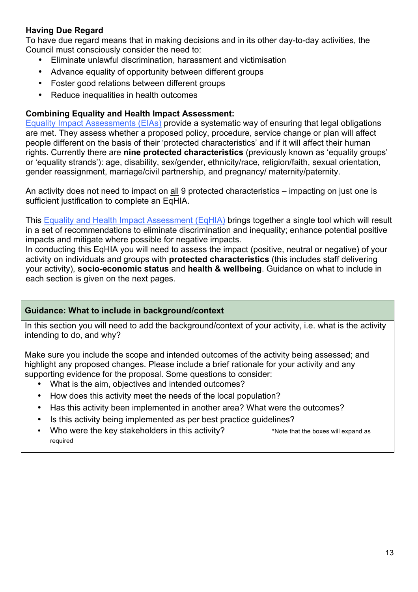#### **Having Due Regard**

To have due regard means that in making decisions and in its other day-to-day activities, the Council must consciously consider the need to:

- Eliminate unlawful discrimination, harassment and victimisation
- Advance equality of opportunity between different groups
- Foster good relations between different groups
- Reduce inequalities in health outcomes

#### **Combining Equality and Health Impact Assessment:**

Equality Impact Assessments (EIAs) provide a systematic way of ensuring that legal obligations are met. They assess whether a proposed policy, procedure, service change or plan will affect people different on the basis of their 'protected characteristics' and if it will affect their human rights. Currently there are **nine protected characteristics** (previously known as 'equality groups' or 'equality strands'): age, disability, sex/gender, ethnicity/race, religion/faith, sexual orientation, gender reassignment, marriage/civil partnership, and pregnancy/ maternity/paternity.

An activity does not need to impact on all 9 protected characteristics – impacting on just one is sufficient justification to complete an EqHIA.

This Equality and Health Impact Assessment (EqHIA) brings together a single tool which will result in a set of recommendations to eliminate discrimination and inequality; enhance potential positive impacts and mitigate where possible for negative impacts.

In conducting this EqHIA you will need to assess the impact (positive, neutral or negative) of your activity on individuals and groups with **protected characteristics** (this includes staff delivering your activity), **socio-economic status** and **health & wellbeing**. Guidance on what to include in each section is given on the next pages.

#### **Guidance: What to include in background/context**

In this section you will need to add the background/context of your activity, i.e. what is the activity intending to do, and why?

Make sure you include the scope and intended outcomes of the activity being assessed; and highlight any proposed changes. Please include a brief rationale for your activity and any supporting evidence for the proposal. Some questions to consider:

- What is the aim, objectives and intended outcomes?
- How does this activity meet the needs of the local population?
- Has this activity been implemented in another area? What were the outcomes?
- Is this activity being implemented as per best practice guidelines?
- Who were the key stakeholders in this activity? \*Note that the boxes will expand as required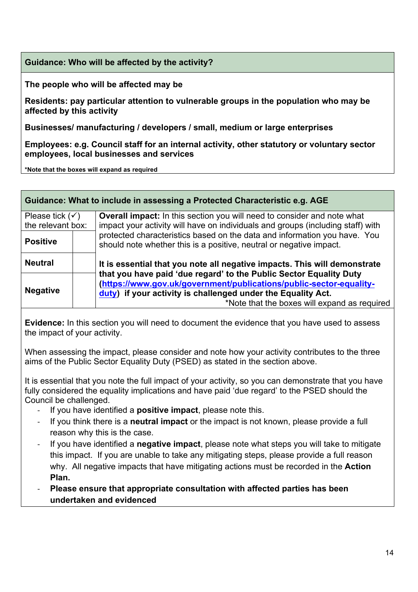#### **Guidance: Who will be affected by the activity?**

**The people who will be affected may be** 

**Residents: pay particular attention to vulnerable groups in the population who may be affected by this activity**

**Businesses/ manufacturing / developers / small, medium or large enterprises**

**Employees: e.g. Council staff for an internal activity, other statutory or voluntary sector employees, local businesses and services**

**\*Note that the boxes will expand as required**

#### **Guidance: What to include in assessing a Protected Characteristic e.g. AGE**

| Please tick $(\checkmark)$<br>the relevant box: | <b>Overall impact:</b> In this section you will need to consider and note what<br>impact your activity will have on individuals and groups (including staff) with                                                                                         |  |
|-------------------------------------------------|-----------------------------------------------------------------------------------------------------------------------------------------------------------------------------------------------------------------------------------------------------------|--|
| <b>Positive</b>                                 | protected characteristics based on the data and information you have. You<br>should note whether this is a positive, neutral or negative impact.                                                                                                          |  |
| <b>Neutral</b>                                  | It is essential that you note all negative impacts. This will demonstrate                                                                                                                                                                                 |  |
| <b>Negative</b>                                 | that you have paid 'due regard' to the Public Sector Equality Duty<br>(https://www.gov.uk/government/publications/public-sector-equality-<br>duty) if your activity is challenged under the Equality Act.<br>*Note that the boxes will expand as required |  |

**Evidence:** In this section you will need to document the evidence that you have used to assess the impact of your activity.

When assessing the impact, please consider and note how your activity contributes to the three aims of the Public Sector Equality Duty (PSED) as stated in the section above.

It is essential that you note the full impact of your activity, so you can demonstrate that you have fully considered the equality implications and have paid 'due regard' to the PSED should the Council be challenged.

- If you have identified a **positive impact**, please note this.
- If you think there is a **neutral impact** or the impact is not known, please provide a full reason why this is the case.
- If you have identified a **negative impact**, please note what steps you will take to mitigate this impact. If you are unable to take any mitigating steps, please provide a full reason why. All negative impacts that have mitigating actions must be recorded in the **Action Plan.**
- **Please ensure that appropriate consultation with affected parties has been undertaken and evidenced**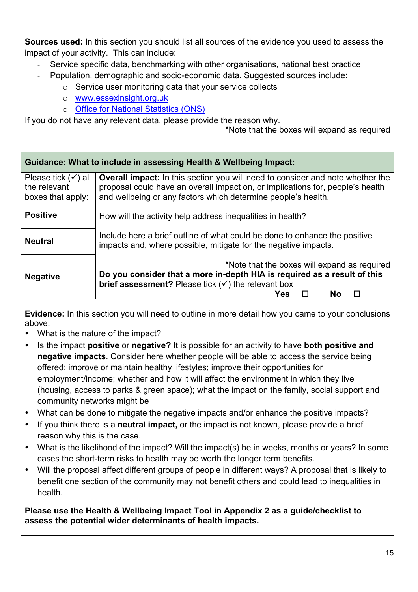**Sources used:** In this section you should list all sources of the evidence you used to assess the impact of your activity. This can include:

- Service specific data, benchmarking with other organisations, national best practice
- Population, demographic and socio-economic data. Suggested sources include:
	- o Service user monitoring data that your service collects
	- o www.essexinsight.org.uk
	- o Office for National Statistics (ONS)

If you do not have any relevant data, please provide the reason why.

\*Note that the boxes will expand as required

#### **Guidance: What to include in assessing Health & Wellbeing Impact:** Please tick  $(v)$  all the relevant boxes that apply: **Overall impact:** In this section you will need to consider and note whether the proposal could have an overall impact on, or implications for, people's health and wellbeing or any factors which determine people's health. How will the activity help address inequalities in health? Include here a brief outline of what could be done to enhance the positive impacts and, where possible, mitigate for the negative impacts. \*Note that the boxes will expand as required **Do you consider that a more in-depth HIA is required as a result of this brief assessment?** Please tick  $(v)$  the relevant box **a**  $\blacksquare$  No  $\blacksquare$  No  $\blacksquare$ **Positive Neutral Negative Evidence:** In this section you will need to outline in more detail how you came to your conclusions above: • What is the nature of the impact? • Is the impact **positive** or **negative?** It is possible for an activity to have **both positive and negative impacts**. Consider here whether people will be able to access the service being offered; improve or maintain healthy lifestyles; improve their opportunities for employment/income; whether and how it will affect the environment in which they live (housing, access to parks & green space); what the impact on the family, social support and community networks might be • What can be done to mitigate the negative impacts and/or enhance the positive impacts? • If you think there is a **neutral impact,** or the impact is not known, please provide a brief reason why this is the case. • What is the likelihood of the impact? Will the impact(s) be in weeks, months or years? In some cases the short-term risks to health may be worth the longer term benefits. • Will the proposal affect different groups of people in different ways? A proposal that is likely to benefit one section of the community may not benefit others and could lead to inequalities in health. **Please use the Health & Wellbeing Impact Tool in Appendix 2 as a guide/checklist to assess the potential wider determinants of health impacts.**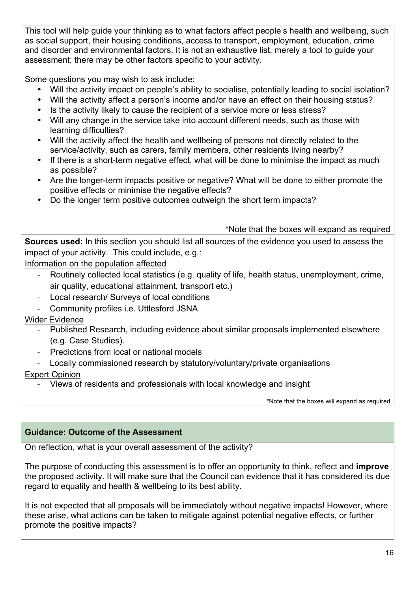This tool will help guide your thinking as to what factors affect people's health and wellbeing, such as social support, their housing conditions, access to transport, employment, education, crime and disorder and environmental factors. It is not an exhaustive list, merely a tool to guide your assessment; there may be other factors specific to your activity.

Some questions you may wish to ask include:

- Will the activity impact on people's ability to socialise, potentially leading to social isolation?
- Will the activity affect a person's income and/or have an effect on their housing status?
- Is the activity likely to cause the recipient of a service more or less stress?
- Will any change in the service take into account different needs, such as those with learning difficulties?
- Will the activity affect the health and wellbeing of persons not directly related to the service/activity, such as carers, family members, other residents living nearby?
- If there is a short-term negative effect, what will be done to minimise the impact as much as possible?
- Are the longer-term impacts positive or negative? What will be done to either promote the positive effects or minimise the negative effects?
- Do the longer term positive outcomes outweigh the short term impacts?

\*Note that the boxes will expand as required

**Sources used:** In this section you should list all sources of the evidence you used to assess the impact of your activity. This could include, e.g.:

Information on the population affected

- Routinely collected local statistics (e.g. quality of life, health status, unemployment, crime, air quality, educational attainment, transport etc.)
- Local research/ Surveys of local conditions
- Community profiles i.e. Uttlesford JSNA

#### Wider Evidence

- Published Research, including evidence about similar proposals implemented elsewhere (e.g. Case Studies).
- Predictions from local or national models
- Locally commissioned research by statutory/voluntary/private organisations

#### Expert Opinion

- Views of residents and professionals with local knowledge and insight

\*Note that the boxes will expand as required

#### **Guidance: Outcome of the Assessment**

On reflection, what is your overall assessment of the activity?

The purpose of conducting this assessment is to offer an opportunity to think, reflect and **improve** the proposed activity. It will make sure that the Council can evidence that it has considered its due regard to equality and health & wellbeing to its best ability.

It is not expected that all proposals will be immediately without negative impacts! However, where these arise, what actions can be taken to mitigate against potential negative effects, or further promote the positive impacts?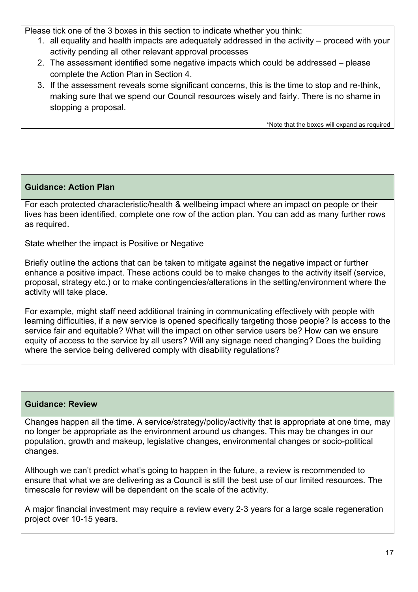Please tick one of the 3 boxes in this section to indicate whether you think:

- 1. all equality and health impacts are adequately addressed in the activity proceed with your activity pending all other relevant approval processes
- 2. The assessment identified some negative impacts which could be addressed please complete the Action Plan in Section 4.
- 3. If the assessment reveals some significant concerns, this is the time to stop and re-think, making sure that we spend our Council resources wisely and fairly. There is no shame in stopping a proposal.

\*Note that the boxes will expand as required

#### **Guidance: Action Plan**

For each protected characteristic/health & wellbeing impact where an impact on people or their lives has been identified, complete one row of the action plan. You can add as many further rows as required.

State whether the impact is Positive or Negative

Briefly outline the actions that can be taken to mitigate against the negative impact or further enhance a positive impact. These actions could be to make changes to the activity itself (service, proposal, strategy etc.) or to make contingencies/alterations in the setting/environment where the activity will take place.

For example, might staff need additional training in communicating effectively with people with learning difficulties, if a new service is opened specifically targeting those people? Is access to the service fair and equitable? What will the impact on other service users be? How can we ensure equity of access to the service by all users? Will any signage need changing? Does the building where the service being delivered comply with disability regulations?

#### **Guidance: Review**

Changes happen all the time. A service/strategy/policy/activity that is appropriate at one time, may no longer be appropriate as the environment around us changes. This may be changes in our population, growth and makeup, legislative changes, environmental changes or socio-political changes.

Although we can't predict what's going to happen in the future, a review is recommended to ensure that what we are delivering as a Council is still the best use of our limited resources. The timescale for review will be dependent on the scale of the activity.

A major financial investment may require a review every 2-3 years for a large scale regeneration project over 10-15 years.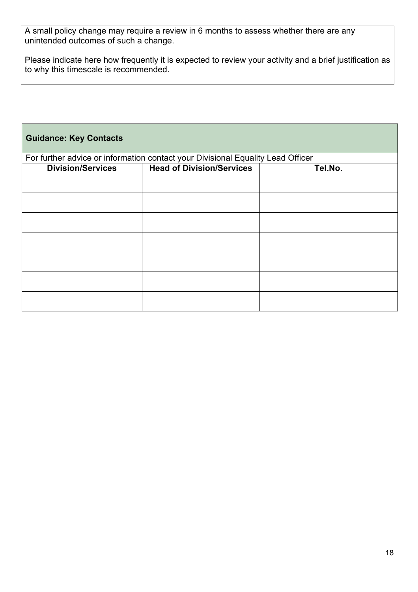A small policy change may require a review in 6 months to assess whether there are any unintended outcomes of such a change.

Please indicate here how frequently it is expected to review your activity and a brief justification as to why this timescale is recommended.

| <b>Guidance: Key Contacts</b>                                                   |                                  |         |  |  |
|---------------------------------------------------------------------------------|----------------------------------|---------|--|--|
| For further advice or information contact your Divisional Equality Lead Officer |                                  |         |  |  |
| <b>Division/Services</b>                                                        | <b>Head of Division/Services</b> | Tel.No. |  |  |
|                                                                                 |                                  |         |  |  |
|                                                                                 |                                  |         |  |  |
|                                                                                 |                                  |         |  |  |
|                                                                                 |                                  |         |  |  |
|                                                                                 |                                  |         |  |  |
|                                                                                 |                                  |         |  |  |
|                                                                                 |                                  |         |  |  |
|                                                                                 |                                  |         |  |  |
|                                                                                 |                                  |         |  |  |
|                                                                                 |                                  |         |  |  |
|                                                                                 |                                  |         |  |  |
|                                                                                 |                                  |         |  |  |